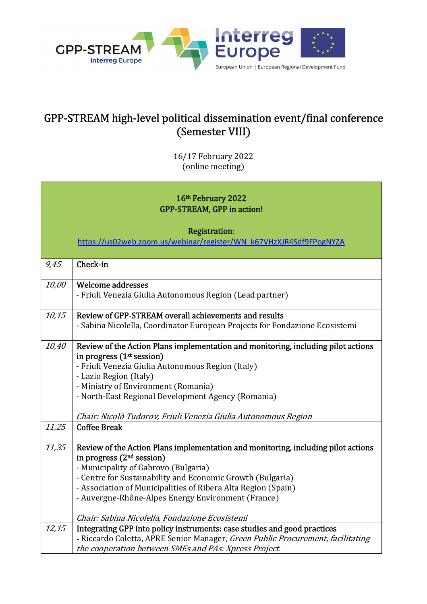

## GPP-STREAM high-level political dissemination event/final conference (Semester VIII)

16/17 February 2022 (online meeting)

## 16th February 2022 GPP-STREAM, GPP in action!

Registration:

https://us02web.zoom.us/webinar/register/WN\_k67VHzXJR4Sdf9FPogNYZA

| 9,45  | Check-in                                                                          |
|-------|-----------------------------------------------------------------------------------|
| 10,00 | Welcome addresses                                                                 |
|       | - Friuli Venezia Giulia Autonomous Region (Lead partner)                          |
|       |                                                                                   |
| 10,15 | Review of GPP-STREAM overall achievements and results                             |
|       | - Sabina Nicolella, Coordinator European Projects for Fondazione Ecosistemi       |
|       |                                                                                   |
| 10,40 | Review of the Action Plans implementation and monitoring, including pilot actions |
|       | in progress $(1st session)$                                                       |
|       | - Friuli Venezia Giulia Autonomous Region (Italy)                                 |
|       | - Lazio Region (Italy)                                                            |
|       | - Ministry of Environment (Romania)                                               |
|       | - North-East Regional Development Agency (Romania)                                |
|       |                                                                                   |
|       | Chair: Nicolò Tudorov, Friuli Venezia Giulia Autonomous Region                    |
| 11,25 | <b>Coffee Break</b>                                                               |
|       |                                                                                   |
| 11,35 | Review of the Action Plans implementation and monitoring, including pilot actions |
|       | in progress $(2nd session)$                                                       |
|       | - Municipality of Gabrovo (Bulgaria)                                              |
|       | - Centre for Sustainability and Economic Growth (Bulgaria)                        |
|       | - Association of Municipalities of Ribera Alta Region (Spain)                     |
|       | - Auvergne-Rhône-Alpes Energy Environment (France)                                |
|       |                                                                                   |
|       | Chair: Sabina Nicolella, Fondazione Ecosistemi                                    |
| 12,15 | Integrating GPP into policy instruments: case studies and good practices          |
|       |                                                                                   |
|       | - Riccardo Coletta, APRE Senior Manager, Green Public Procurement, facilitating   |
|       | the cooperation between SMEs and PAs: Xpress Project.                             |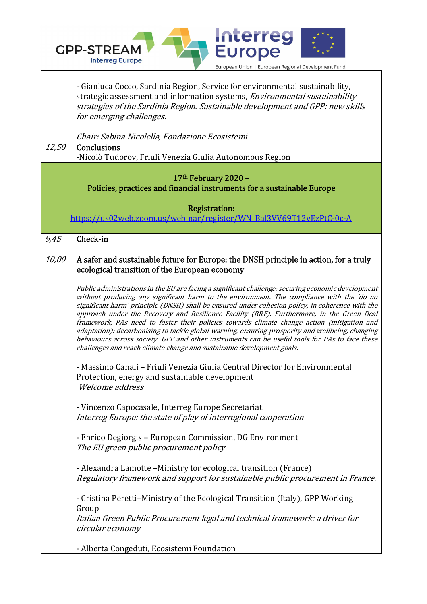

٦

| 12,50                                                                                          | - Gianluca Cocco, Sardinia Region, Service for environmental sustainability,<br>strategic assessment and information systems, <i>Environmental sustainability</i><br>strategies of the Sardinia Region. Sustainable development and GPP: new skills<br>for emerging challenges.<br>Chair: Sabina Nicolella, Fondazione Ecosistemi<br>Conclusions<br>-Nicolò Tudorov, Friuli Venezia Giulia Autonomous Region                                                                                                                                                                                                                                                                                                                                                                   |  |
|------------------------------------------------------------------------------------------------|--------------------------------------------------------------------------------------------------------------------------------------------------------------------------------------------------------------------------------------------------------------------------------------------------------------------------------------------------------------------------------------------------------------------------------------------------------------------------------------------------------------------------------------------------------------------------------------------------------------------------------------------------------------------------------------------------------------------------------------------------------------------------------|--|
| 17th February 2020 -<br>Policies, practices and financial instruments for a sustainable Europe |                                                                                                                                                                                                                                                                                                                                                                                                                                                                                                                                                                                                                                                                                                                                                                                |  |
| <b>Registration:</b><br>https://us02web.zoom.us/webinar/register/WN_Bal3VV69T12vEzPtC-0c-A     |                                                                                                                                                                                                                                                                                                                                                                                                                                                                                                                                                                                                                                                                                                                                                                                |  |
| 9,45                                                                                           | Check-in                                                                                                                                                                                                                                                                                                                                                                                                                                                                                                                                                                                                                                                                                                                                                                       |  |
| 10,00                                                                                          | A safer and sustainable future for Europe: the DNSH principle in action, for a truly<br>ecological transition of the European economy                                                                                                                                                                                                                                                                                                                                                                                                                                                                                                                                                                                                                                          |  |
|                                                                                                | Public administrations in the EU are facing a significant challenge: securing economic development<br>without producing any significant harm to the environment. The compliance with the 'do no<br>significant harm' principle (DNSH) shall be ensured under cohesion policy, in coherence with the<br>approach under the Recovery and Resilience Facility (RRF). Furthermore, in the Green Deal<br>framework, PAs need to foster their policies towards climate change action (mitigation and<br>adaptation): decarbonising to tackle global warning, ensuring prosperity and wellbeing, changing<br>behaviours across society. GPP and other instruments can be useful tools for PAs to face these<br>challenges and reach climate change and sustainable development goals. |  |
|                                                                                                | - Massimo Canali - Friuli Venezia Giulia Central Director for Environmental<br>Protection, energy and sustainable development<br><i>Welcome address</i>                                                                                                                                                                                                                                                                                                                                                                                                                                                                                                                                                                                                                        |  |
|                                                                                                | - Vincenzo Capocasale, Interreg Europe Secretariat<br>Interreg Europe: the state of play of interregional cooperation                                                                                                                                                                                                                                                                                                                                                                                                                                                                                                                                                                                                                                                          |  |
|                                                                                                | - Enrico Degiorgis – European Commission, DG Environment<br>The EU green public procurement policy                                                                                                                                                                                                                                                                                                                                                                                                                                                                                                                                                                                                                                                                             |  |
|                                                                                                | - Alexandra Lamotte – Ministry for ecological transition (France)<br>Regulatory framework and support for sustainable public procurement in France.                                                                                                                                                                                                                                                                                                                                                                                                                                                                                                                                                                                                                            |  |
|                                                                                                | - Cristina Peretti-Ministry of the Ecological Transition (Italy), GPP Working<br>Group<br>Italian Green Public Procurement legal and technical framework: a driver for<br>circular economy                                                                                                                                                                                                                                                                                                                                                                                                                                                                                                                                                                                     |  |
|                                                                                                | - Alberta Congeduti, Ecosistemi Foundation                                                                                                                                                                                                                                                                                                                                                                                                                                                                                                                                                                                                                                                                                                                                     |  |